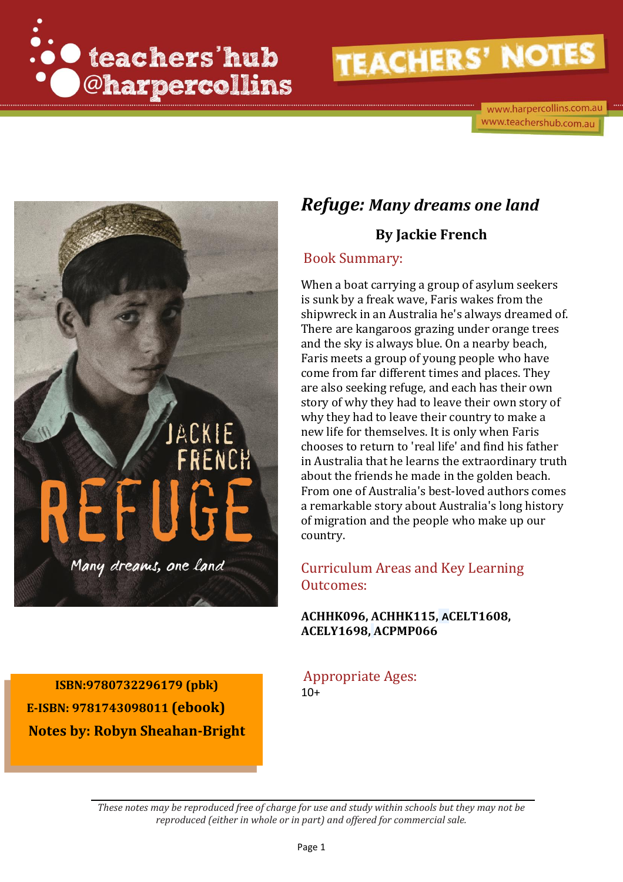



# *Refuge: Many dreams one land*

# **By Jackie French**

### Book Summary:

When a boat carrying a group of asylum seekers is sunk by a freak wave, Faris wakes from the shipwreck in an Australia he's always dreamed of. There are kangaroos grazing under orange trees and the sky is always blue. On a nearby beach, Faris meets a group of young people who have come from far different times and places. They are also seeking refuge, and each has their own story of why they had to leave their own story of why they had to leave their country to make a new life for themselves. It is only when Faris chooses to return to 'real life' and find his father in Australia that he learns the extraordinary truth about the friends he made in the golden beach. From one of Australia's best-loved authors comes a remarkable story about Australia's long history of migration and the people who make up our country.

# Curriculum Areas and Key Learning Outcomes:

### **ACHHK096, ACHHK115, ACELT1608, ACELY1698, ACPMP066**

**ISBN:9780732296179 (pbk)**  $10+$   $10+$  **E-ISBN: 9781743098011 (ebook) Notes by: Robyn Sheahan-Bright**

Appropriate Ages: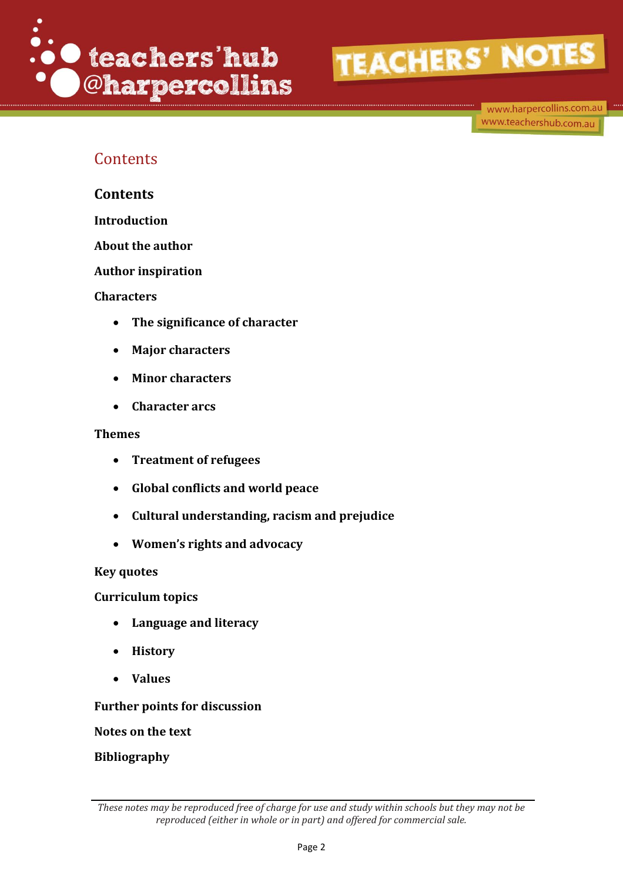

www.harpercollins.com.au www.teachershub.com.au

# **Contents**

**Contents**

**Introduction**

**About the author** 

**Author inspiration**

### **Characters**

- **The significance of character**
- **Major characters**
- **Minor characters**
- **Character arcs**

### **Themes**

- **Treatment of refugees**
- **Global conflicts and world peace**
- **Cultural understanding, racism and prejudice**
- **Women's rights and advocacy**

### **Key quotes**

**Curriculum topics** 

- **Language and literacy**
- **History**
- **Values**

**Further points for discussion**

**Notes on the text** 

**Bibliography**

*These notes may be reproduced free of charge for use and study within schools but they may not be reproduced (either in whole or in part) and offered for commercial sale.*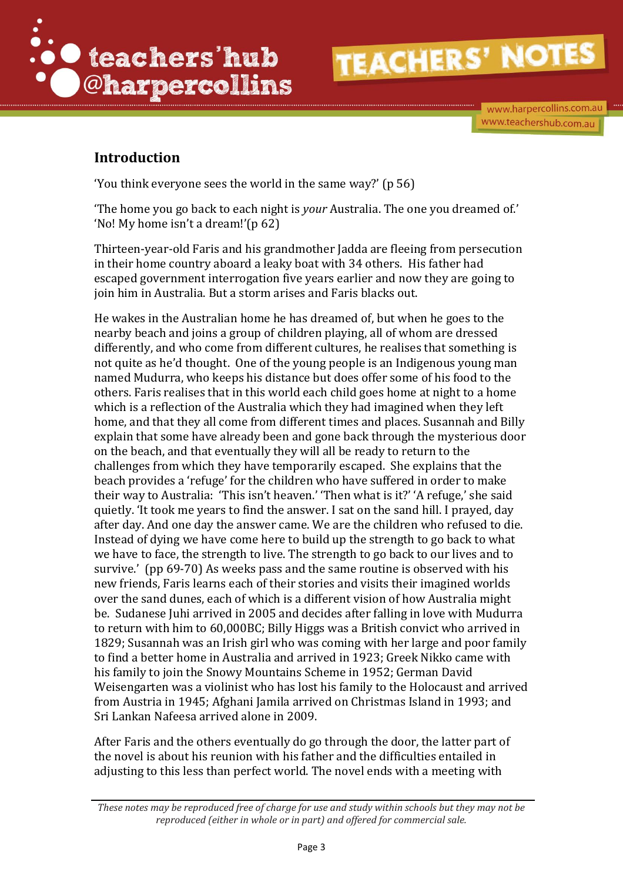

www.harpercollins.com.au www.teachershub.com.au

# **Introduction**

'You think everyone sees the world in the same way?' (p 56)

'The home you go back to each night is *your* Australia. The one you dreamed of.' 'No! My home isn't a dream!'(p 62)

Thirteen-year-old Faris and his grandmother Jadda are fleeing from persecution in their home country aboard a leaky boat with 34 others. His father had escaped government interrogation five years earlier and now they are going to join him in Australia. But a storm arises and Faris blacks out.

He wakes in the Australian home he has dreamed of, but when he goes to the nearby beach and joins a group of children playing, all of whom are dressed differently, and who come from different cultures, he realises that something is not quite as he'd thought. One of the young people is an Indigenous young man named Mudurra, who keeps his distance but does offer some of his food to the others. Faris realises that in this world each child goes home at night to a home which is a reflection of the Australia which they had imagined when they left home, and that they all come from different times and places. Susannah and Billy explain that some have already been and gone back through the mysterious door on the beach, and that eventually they will all be ready to return to the challenges from which they have temporarily escaped. She explains that the beach provides a 'refuge' for the children who have suffered in order to make their way to Australia: 'This isn't heaven.' 'Then what is it?' 'A refuge,' she said quietly. 'It took me years to find the answer. I sat on the sand hill. I prayed, day after day. And one day the answer came. We are the children who refused to die. Instead of dying we have come here to build up the strength to go back to what we have to face, the strength to live. The strength to go back to our lives and to survive.' (pp 69-70) As weeks pass and the same routine is observed with his new friends, Faris learns each of their stories and visits their imagined worlds over the sand dunes, each of which is a different vision of how Australia might be. Sudanese Juhi arrived in 2005 and decides after falling in love with Mudurra to return with him to 60,000BC; Billy Higgs was a British convict who arrived in 1829; Susannah was an Irish girl who was coming with her large and poor family to find a better home in Australia and arrived in 1923; Greek Nikko came with his family to join the Snowy Mountains Scheme in 1952; German David Weisengarten was a violinist who has lost his family to the Holocaust and arrived from Austria in 1945; Afghani Jamila arrived on Christmas Island in 1993; and Sri Lankan Nafeesa arrived alone in 2009.

After Faris and the others eventually do go through the door, the latter part of the novel is about his reunion with his father and the difficulties entailed in adjusting to this less than perfect world. The novel ends with a meeting with

*These notes may be reproduced free of charge for use and study within schools but they may not be reproduced (either in whole or in part) and offered for commercial sale.*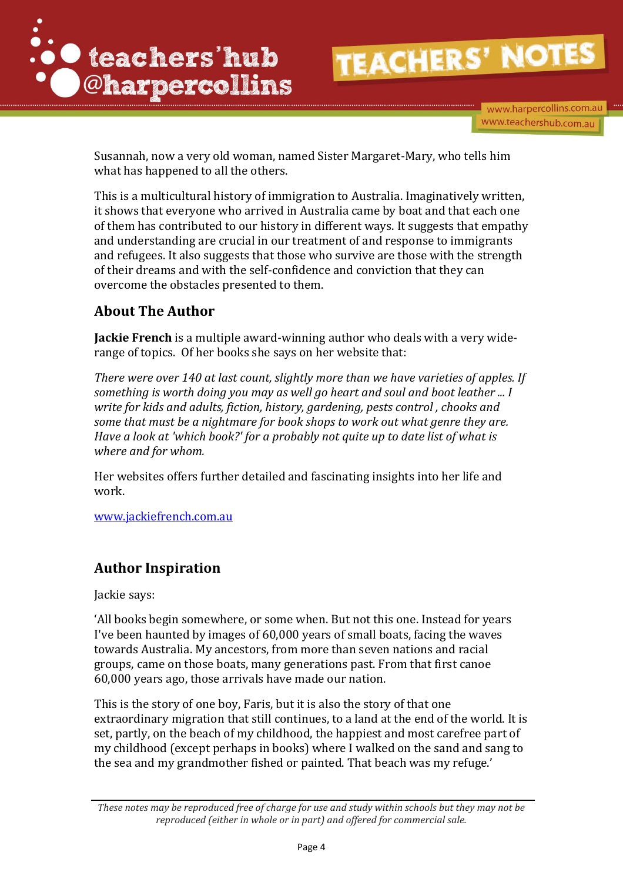

www.harpercollins.com.au www.teachershub.com.au

Susannah, now a very old woman, named Sister Margaret-Mary, who tells him what has happened to all the others.

This is a multicultural history of immigration to Australia. Imaginatively written, it shows that everyone who arrived in Australia came by boat and that each one of them has contributed to our history in different ways. It suggests that empathy and understanding are crucial in our treatment of and response to immigrants and refugees. It also suggests that those who survive are those with the strength of their dreams and with the self-confidence and conviction that they can overcome the obstacles presented to them.

# **About The Author**

**Jackie French** is a multiple award-winning author who deals with a very widerange of topics. Of her books she says on her website that:

*There were over 140 at last count, slightly more than we have varieties of apples. If something is worth doing you may as well go heart and soul and boot leather ... I write for kids and adults, fiction, history, gardening, pests control , chooks and some that must be a nightmare for book shops to work out what genre they are. Have a look at 'which book?' for a probably not quite up to date list of what is where and for whom.*

Her websites offers further detailed and fascinating insights into her life and work.

[www.jackiefrench.com.au](http://www.jackiefrench.com.au/)

# **Author Inspiration**

Jackie says:

'All books begin somewhere, or some when. But not this one. Instead for years I've been haunted by images of 60,000 years of small boats, facing the waves towards Australia. My ancestors, from more than seven nations and racial groups, came on those boats, many generations past. From that first canoe 60,000 years ago, those arrivals have made our nation.

This is the story of one boy, Faris, but it is also the story of that one extraordinary migration that still continues, to a land at the end of the world. It is set, partly, on the beach of my childhood, the happiest and most carefree part of my childhood (except perhaps in books) where I walked on the sand and sang to the sea and my grandmother fished or painted. That beach was my refuge.'

*These notes may be reproduced free of charge for use and study within schools but they may not be reproduced (either in whole or in part) and offered for commercial sale.*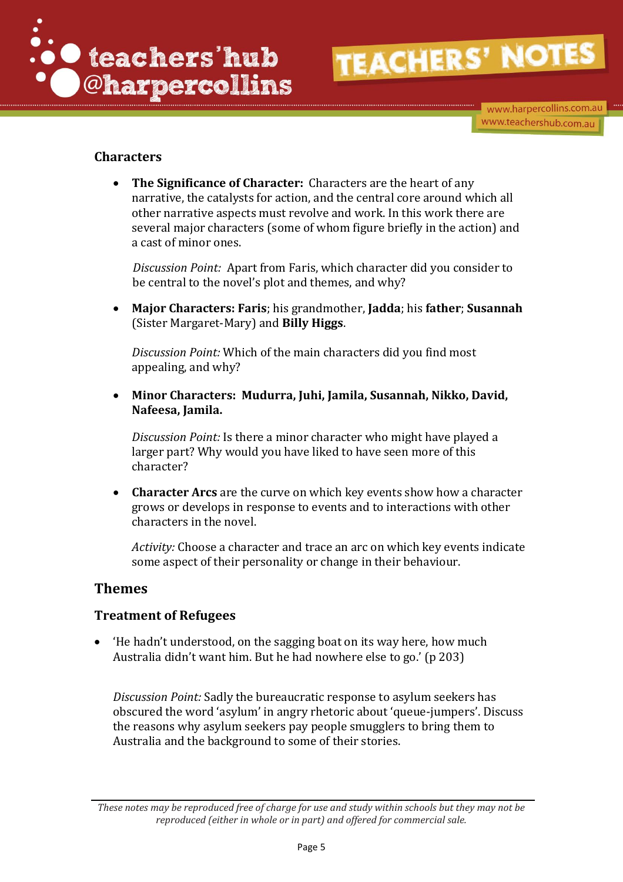

www.harpercollins.com.au www.teachershub.com.au

### **Characters**

 **The Significance of Character:** Characters are the heart of any narrative, the catalysts for action, and the central core around which all other narrative aspects must revolve and work. In this work there are several major characters (some of whom figure briefly in the action) and a cast of minor ones.

*Discussion Point:* Apart from Faris, which character did you consider to be central to the novel's plot and themes, and why?

 **Major Characters: Faris**; his grandmother, **Jadda**; his **father**; **Susannah** (Sister Margaret-Mary) and **Billy Higgs**.

*Discussion Point:* Which of the main characters did you find most appealing, and why?

 **Minor Characters: Mudurra, Juhi, Jamila, Susannah, Nikko, David, Nafeesa, Jamila.** 

*Discussion Point:* Is there a minor character who might have played a larger part? Why would you have liked to have seen more of this character?

 **Character Arcs** are the curve on which key events show how a character grows or develops in response to events and to interactions with other characters in the novel.

*Activity:* Choose a character and trace an arc on which key events indicate some aspect of their personality or change in their behaviour.

## **Themes**

## **Treatment of Refugees**

 'He hadn't understood, on the sagging boat on its way here, how much Australia didn't want him. But he had nowhere else to go.' (p 203)

*Discussion Point:* Sadly the bureaucratic response to asylum seekers has obscured the word 'asylum' in angry rhetoric about 'queue-jumpers'. Discuss the reasons why asylum seekers pay people smugglers to bring them to Australia and the background to some of their stories.

*These notes may be reproduced free of charge for use and study within schools but they may not be reproduced (either in whole or in part) and offered for commercial sale.*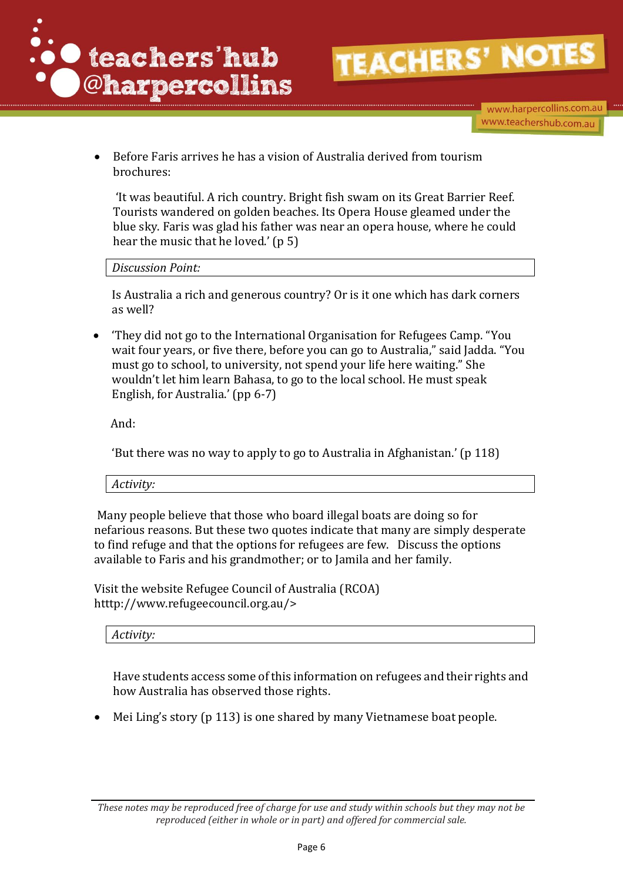

www.harpercollins.com.au www.teachershub.com.au

 Before Faris arrives he has a vision of Australia derived from tourism brochures:

'It was beautiful. A rich country. Bright fish swam on its Great Barrier Reef. Tourists wandered on golden beaches. Its Opera House gleamed under the blue sky. Faris was glad his father was near an opera house, where he could hear the music that he loved.' (p 5)

*Discussion Point:*

Is Australia a rich and generous country? Or is it one which has dark corners as well?

 'They did not go to the International Organisation for Refugees Camp. "You wait four years, or five there, before you can go to Australia," said Jadda. "You must go to school, to university, not spend your life here waiting." She wouldn't let him learn Bahasa, to go to the local school. He must speak English, for Australia.' (pp 6-7)

And:

'But there was no way to apply to go to Australia in Afghanistan.' (p 118)

*Activity:*

Many people believe that those who board illegal boats are doing so for nefarious reasons. But these two quotes indicate that many are simply desperate to find refuge and that the options for refugees are few. Discuss the options available to Faris and his grandmother; or to Jamila and her family.

Visit the website Refugee Council of Australia (RCOA) htttp://www.refugeecouncil.org.au/>

*Activity:*

Have students access some of this information on refugees and their rights and how Australia has observed those rights.

Mei Ling's story (p 113) is one shared by many Vietnamese boat people.

*These notes may be reproduced free of charge for use and study within schools but they may not be reproduced (either in whole or in part) and offered for commercial sale.*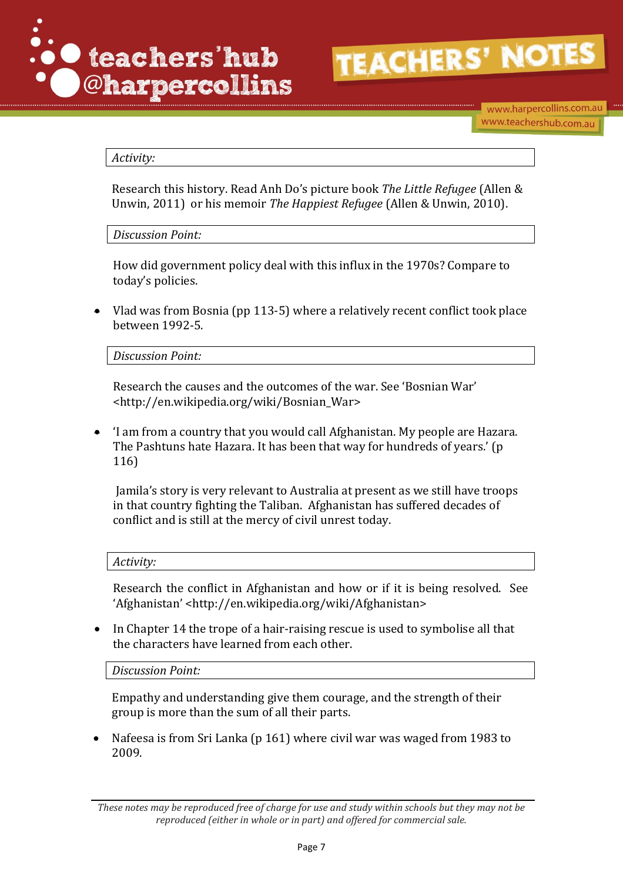

### *Activity:*

Research this history. Read Anh Do's picture book *The Little Refugee* (Allen & Unwin, 2011) or his memoir *The Happiest Refugee* (Allen & Unwin, 2010).

*Discussion Point:*

How did government policy deal with this influx in the 1970s? Compare to today's policies.

 Vlad was from Bosnia (pp 113-5) where a relatively recent conflict took place between 1992-5.

*Discussion Point:*

Research the causes and the outcomes of the war. See 'Bosnian War' <http://en.wikipedia.org/wiki/Bosnian\_War>

 'I am from a country that you would call Afghanistan. My people are Hazara. The Pashtuns hate Hazara. It has been that way for hundreds of years.' (p 116)

Jamila's story is very relevant to Australia at present as we still have troops in that country fighting the Taliban. Afghanistan has suffered decades of conflict and is still at the mercy of civil unrest today.

#### *Activity:*

Research the conflict in Afghanistan and how or if it is being resolved. See 'Afghanistan' <http://en.wikipedia.org/wiki/Afghanistan>

• In Chapter 14 the trope of a hair-raising rescue is used to symbolise all that the characters have learned from each other.

*Discussion Point:*

Empathy and understanding give them courage, and the strength of their group is more than the sum of all their parts.

 Nafeesa is from Sri Lanka (p 161) where civil war was waged from 1983 to 2009.

*These notes may be reproduced free of charge for use and study within schools but they may not be reproduced (either in whole or in part) and offered for commercial sale.*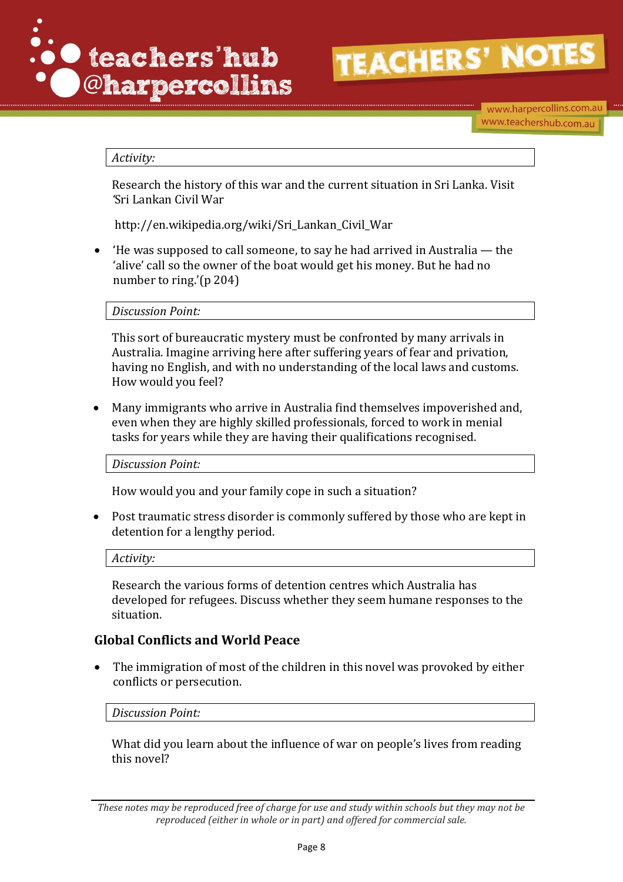

### *Activity:*

Research the history of this war and the current situation in Sri Lanka. Visit *'*Sri Lankan Civil War

http://en.wikipedia.org/wiki/Sri\_Lankan\_Civil\_War

 'He was supposed to call someone, to say he had arrived in Australia — the 'alive' call so the owner of the boat would get his money. But he had no number to ring.'(p 204)

*Discussion Point:* 

This sort of bureaucratic mystery must be confronted by many arrivals in Australia. Imagine arriving here after suffering years of fear and privation, having no English, and with no understanding of the local laws and customs. How would you feel?

 Many immigrants who arrive in Australia find themselves impoverished and, even when they are highly skilled professionals, forced to work in menial tasks for years while they are having their qualifications recognised.

*Discussion Point:*

How would you and your family cope in such a situation?

 Post traumatic stress disorder is commonly suffered by those who are kept in detention for a lengthy period.

*Activity:*

Research the various forms of detention centres which Australia has developed for refugees. Discuss whether they seem humane responses to the situation.

## **Global Conflicts and World Peace**

 The immigration of most of the children in this novel was provoked by either conflicts or persecution.

*Discussion Point:*

What did you learn about the influence of war on people's lives from reading this novel?

*These notes may be reproduced free of charge for use and study within schools but they may not be reproduced (either in whole or in part) and offered for commercial sale.*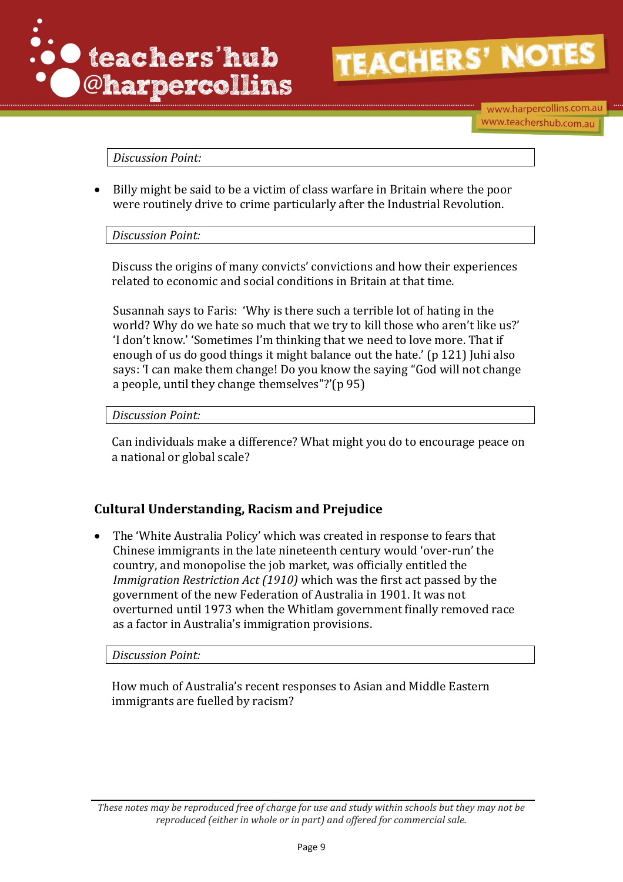

www.harpercollins.com.au www.teachershub.com.au

*Discussion Point:*

 Billy might be said to be a victim of class warfare in Britain where the poor were routinely drive to crime particularly after the Industrial Revolution.

*Discussion Point:*

Discuss the origins of many convicts' convictions and how their experiences related to economic and social conditions in Britain at that time.

Susannah says to Faris: 'Why is there such a terrible lot of hating in the world? Why do we hate so much that we try to kill those who aren't like us?' 'I don't know.' 'Sometimes I'm thinking that we need to love more. That if enough of us do good things it might balance out the hate.' (p 121) Juhi also says: 'I can make them change! Do you know the saying "God will not change a people, until they change themselves"?'(p 95)

*Discussion Point:* 

Can individuals make a difference? What might you do to encourage peace on a national or global scale?

## **Cultural Understanding, Racism and Prejudice**

 The 'White Australia Policy' which was created in response to fears that Chinese immigrants in the late nineteenth century would 'over-run' the country, and monopolise the job market, was officially entitled the *Immigration Restriction Act (1910)* which was the first act passed by the government of the new Federation of Australia in 1901. It was not overturned until 1973 when the Whitlam government finally removed race as a factor in Australia's immigration provisions.

*Discussion Point:*

How much of Australia's recent responses to Asian and Middle Eastern immigrants are fuelled by racism?

*These notes may be reproduced free of charge for use and study within schools but they may not be reproduced (either in whole or in part) and offered for commercial sale.*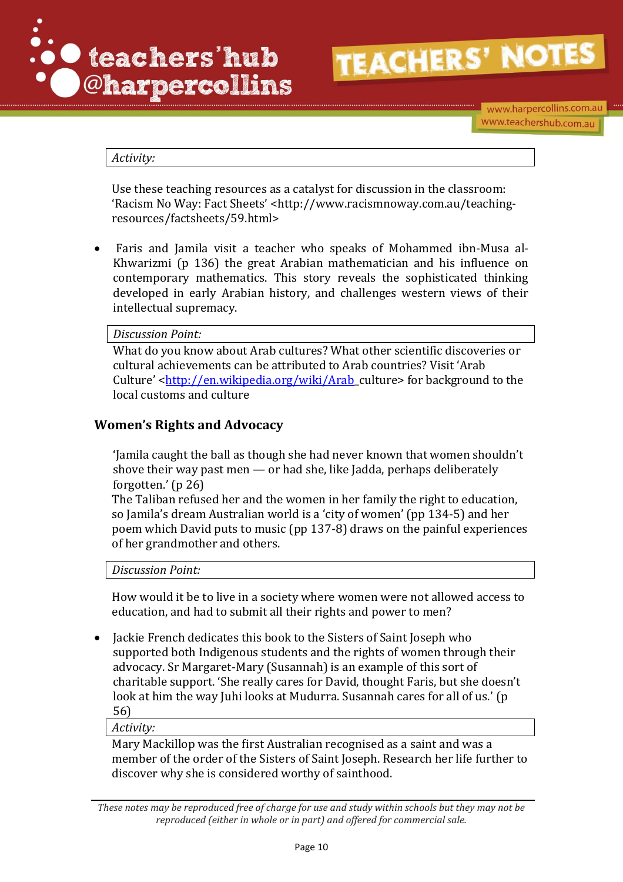

*Activity:*

Use these teaching resources as a catalyst for discussion in the classroom: 'Racism No Way: Fact Sheets' <http://www.racismnoway.com.au/teachingresources/factsheets/59.html>

 Faris and Jamila visit a teacher who speaks of Mohammed ibn-Musa al-Khwarizmi (p 136) the great Arabian mathematician and his influence on contemporary mathematics. This story reveals the sophisticated thinking developed in early Arabian history, and challenges western views of their intellectual supremacy.

*Discussion Point:*

What do you know about Arab cultures? What other scientific discoveries or cultural achievements can be attributed to Arab countries? Visit 'Arab Culture' [<http://en.wikipedia.org/wiki/Arab\\_](http://en.wikipedia.org/wiki/Arab)culture> for background to the local customs and culture

## **Women's Rights and Advocacy**

'Jamila caught the ball as though she had never known that women shouldn't shove their way past men — or had she, like Jadda, perhaps deliberately forgotten.' (p 26)

The Taliban refused her and the women in her family the right to education, so Jamila's dream Australian world is a 'city of women' (pp 134-5) and her poem which David puts to music (pp 137-8) draws on the painful experiences of her grandmother and others.

*Discussion Point:* 

How would it be to live in a society where women were not allowed access to education, and had to submit all their rights and power to men?

 Jackie French dedicates this book to the Sisters of Saint Joseph who supported both Indigenous students and the rights of women through their advocacy. Sr Margaret-Mary (Susannah) is an example of this sort of charitable support. 'She really cares for David, thought Faris, but she doesn't look at him the way Juhi looks at Mudurra. Susannah cares for all of us.' (p 56)

*Activity:*

Mary Mackillop was the first Australian recognised as a saint and was a member of the order of the Sisters of Saint Joseph. Research her life further to discover why she is considered worthy of sainthood.

*These notes may be reproduced free of charge for use and study within schools but they may not be reproduced (either in whole or in part) and offered for commercial sale.*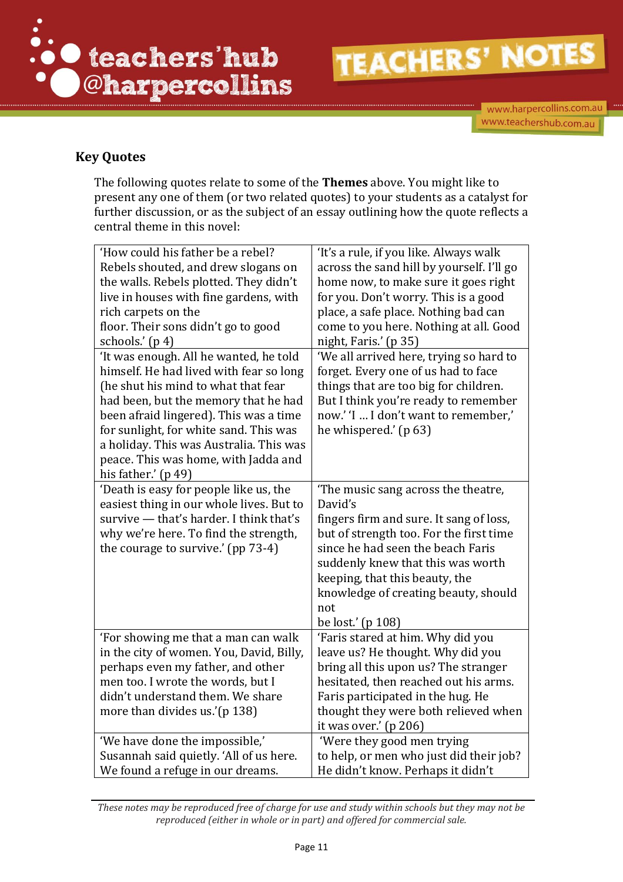

www.harpercollins.com.au www.teachershub.com.au

# **Key Quotes**

The following quotes relate to some of the **Themes** above. You might like to present any one of them (or two related quotes) to your students as a catalyst for further discussion, or as the subject of an essay outlining how the quote reflects a central theme in this novel:

| 'How could his father be a rebel?<br>Rebels shouted, and drew slogans on<br>the walls. Rebels plotted. They didn't<br>live in houses with fine gardens, with<br>rich carpets on the<br>floor. Their sons didn't go to good<br>schools.' (p 4)                                                                                                                  | 'It's a rule, if you like. Always walk<br>across the sand hill by yourself. I'll go<br>home now, to make sure it goes right<br>for you. Don't worry. This is a good<br>place, a safe place. Nothing bad can<br>come to you here. Nothing at all. Good<br>night, Faris.' (p 35)                                       |
|----------------------------------------------------------------------------------------------------------------------------------------------------------------------------------------------------------------------------------------------------------------------------------------------------------------------------------------------------------------|----------------------------------------------------------------------------------------------------------------------------------------------------------------------------------------------------------------------------------------------------------------------------------------------------------------------|
| 'It was enough. All he wanted, he told<br>himself. He had lived with fear so long<br>(he shut his mind to what that fear<br>had been, but the memory that he had<br>been afraid lingered). This was a time<br>for sunlight, for white sand. This was<br>a holiday. This was Australia. This was<br>peace. This was home, with Jadda and<br>his father.' (p 49) | 'We all arrived here, trying so hard to<br>forget. Every one of us had to face<br>things that are too big for children.<br>But I think you're ready to remember<br>now.' 'I  I don't want to remember,'<br>he whispered.' (p 63)                                                                                     |
| 'Death is easy for people like us, the<br>easiest thing in our whole lives. But to<br>survive - that's harder. I think that's<br>why we're here. To find the strength,<br>the courage to survive.' (pp 73-4)                                                                                                                                                   | 'The music sang across the theatre,<br>David's<br>fingers firm and sure. It sang of loss,<br>but of strength too. For the first time<br>since he had seen the beach Faris<br>suddenly knew that this was worth<br>keeping, that this beauty, the<br>knowledge of creating beauty, should<br>not<br>be lost.' (p 108) |
| 'For showing me that a man can walk<br>in the city of women. You, David, Billy,<br>perhaps even my father, and other<br>men too. I wrote the words, but I<br>didn't understand them. We share<br>more than divides us.'(p 138)                                                                                                                                 | 'Faris stared at him. Why did you<br>leave us? He thought. Why did you<br>bring all this upon us? The stranger<br>hesitated, then reached out his arms.<br>Faris participated in the hug. He<br>thought they were both relieved when<br>it was over.' (p 206)                                                        |
| 'We have done the impossible,'<br>Susannah said quietly. 'All of us here.<br>We found a refuge in our dreams.                                                                                                                                                                                                                                                  | 'Were they good men trying<br>to help, or men who just did their job?<br>He didn't know. Perhaps it didn't                                                                                                                                                                                                           |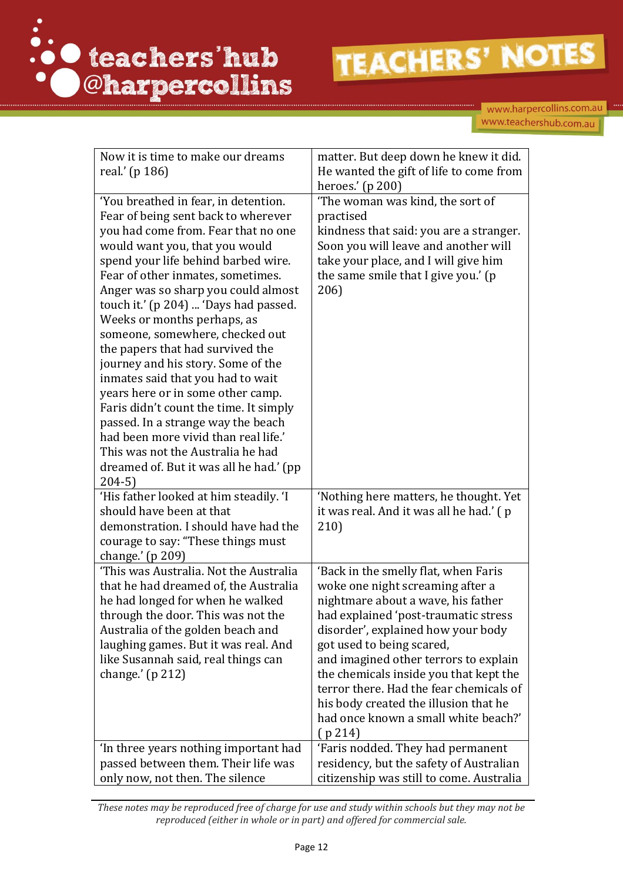

www.harpercollins.com.au www.teachershub.com.au

| Now it is time to make our dreams<br>real.' (p 186)<br>'You breathed in fear, in detention.<br>Fear of being sent back to wherever                                                                                                                                                                                                                                                                                                                                                                                                                                                                                                                                          | matter. But deep down he knew it did.<br>He wanted the gift of life to come from<br>heroes.' (p 200)<br>'The woman was kind, the sort of<br>practised                                                                                                                                                                                                                                                                                               |
|-----------------------------------------------------------------------------------------------------------------------------------------------------------------------------------------------------------------------------------------------------------------------------------------------------------------------------------------------------------------------------------------------------------------------------------------------------------------------------------------------------------------------------------------------------------------------------------------------------------------------------------------------------------------------------|-----------------------------------------------------------------------------------------------------------------------------------------------------------------------------------------------------------------------------------------------------------------------------------------------------------------------------------------------------------------------------------------------------------------------------------------------------|
| you had come from. Fear that no one<br>would want you, that you would<br>spend your life behind barbed wire.<br>Fear of other inmates, sometimes.<br>Anger was so sharp you could almost<br>touch it.' (p 204)  'Days had passed.<br>Weeks or months perhaps, as<br>someone, somewhere, checked out<br>the papers that had survived the<br>journey and his story. Some of the<br>inmates said that you had to wait<br>years here or in some other camp.<br>Faris didn't count the time. It simply<br>passed. In a strange way the beach<br>had been more vivid than real life.'<br>This was not the Australia he had<br>dreamed of. But it was all he had.' (pp<br>$204-5)$ | kindness that said: you are a stranger.<br>Soon you will leave and another will<br>take your place, and I will give him<br>the same smile that I give you.' (p<br>206)                                                                                                                                                                                                                                                                              |
| 'His father looked at him steadily. 'I<br>should have been at that<br>demonstration. I should have had the<br>courage to say: "These things must<br>change.' (p 209)                                                                                                                                                                                                                                                                                                                                                                                                                                                                                                        | 'Nothing here matters, he thought. Yet<br>it was real. And it was all he had.' (p<br>210)                                                                                                                                                                                                                                                                                                                                                           |
| 'This was Australia. Not the Australia<br>that he had dreamed of, the Australia<br>he had longed for when he walked<br>through the door. This was not the<br>Australia of the golden beach and<br>laughing games. But it was real. And<br>like Susannah said, real things can<br>change.' $(p 212)$                                                                                                                                                                                                                                                                                                                                                                         | 'Back in the smelly flat, when Faris<br>woke one night screaming after a<br>nightmare about a wave, his father<br>had explained 'post-traumatic stress<br>disorder', explained how your body<br>got used to being scared,<br>and imagined other terrors to explain<br>the chemicals inside you that kept the<br>terror there. Had the fear chemicals of<br>his body created the illusion that he<br>had once known a small white beach?'<br>(p 214) |
| In three years nothing important had<br>passed between them. Their life was<br>only now, not then. The silence                                                                                                                                                                                                                                                                                                                                                                                                                                                                                                                                                              | 'Faris nodded. They had permanent<br>residency, but the safety of Australian<br>citizenship was still to come. Australia                                                                                                                                                                                                                                                                                                                            |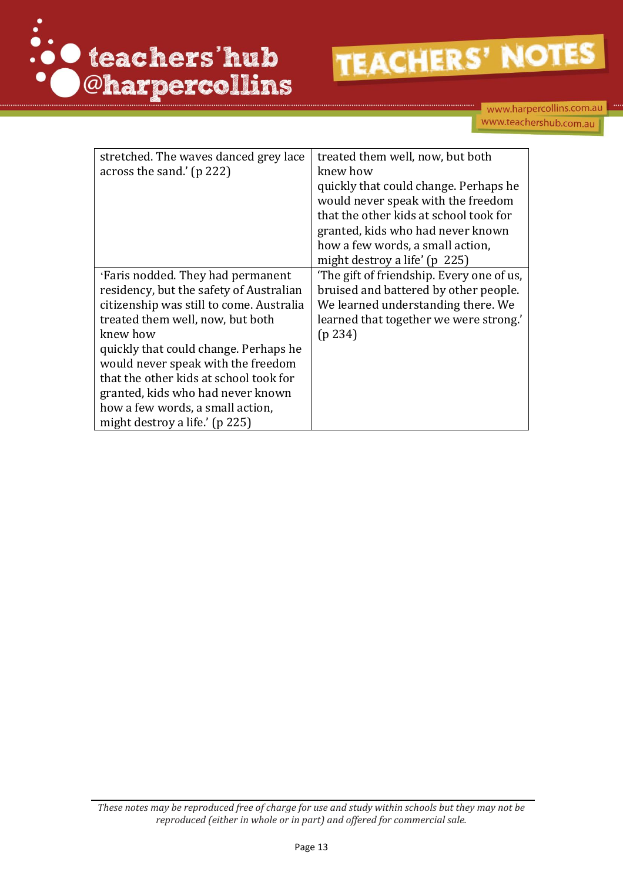

| stretched. The waves danced grey lace    | treated them well, now, but both          |
|------------------------------------------|-------------------------------------------|
| across the sand.' (p 222)                | knew how                                  |
|                                          | quickly that could change. Perhaps he     |
|                                          | would never speak with the freedom        |
|                                          | that the other kids at school took for    |
|                                          | granted, kids who had never known         |
|                                          | how a few words, a small action,          |
|                                          | might destroy a life' (p 225)             |
| 'Faris nodded. They had permanent        | 'The gift of friendship. Every one of us, |
| residency, but the safety of Australian  | bruised and battered by other people.     |
| citizenship was still to come. Australia | We learned understanding there. We        |
| treated them well, now, but both         | learned that together we were strong.'    |
| knew how                                 | (p 234)                                   |
| quickly that could change. Perhaps he    |                                           |
| would never speak with the freedom       |                                           |
| that the other kids at school took for   |                                           |
| granted, kids who had never known        |                                           |
| how a few words, a small action,         |                                           |
| might destroy a life.' (p 225)           |                                           |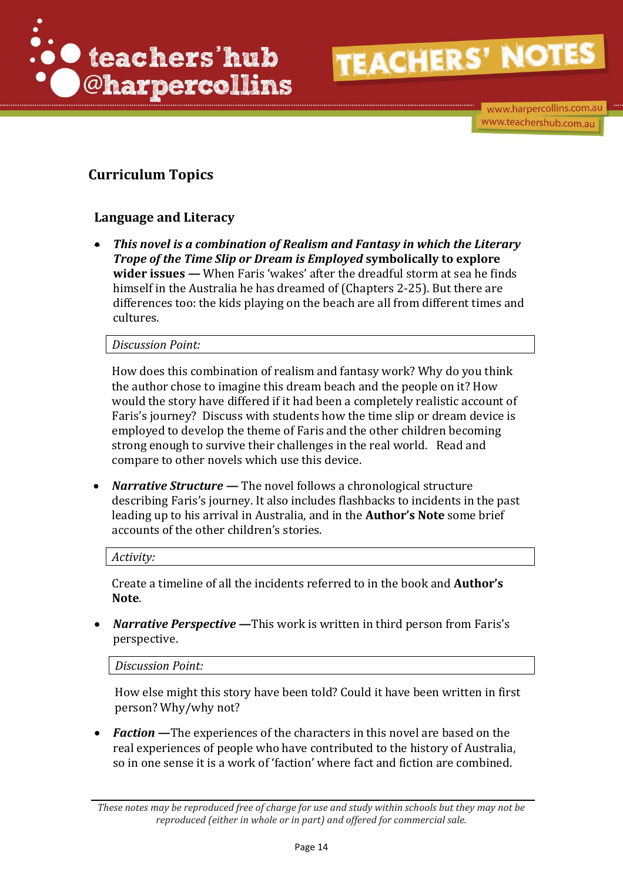

www.harpercollins.com.au www.teachershub.com.au

# **Curriculum Topics**

# **Language and Literacy**

 *This novel is a combination of Realism and Fantasy in which the Literary Trope of the Time Slip or Dream is Employed* **symbolically to explore wider issues** *—* When Faris 'wakes' after the dreadful storm at sea he finds himself in the Australia he has dreamed of (Chapters 2-25). But there are differences too: the kids playing on the beach are all from different times and cultures.

*Discussion Point:*

How does this combination of realism and fantasy work? Why do you think the author chose to imagine this dream beach and the people on it? How would the story have differed if it had been a completely realistic account of Faris's journey? Discuss with students how the time slip or dream device is employed to develop the theme of Faris and the other children becoming strong enough to survive their challenges in the real world. Read and compare to other novels which use this device.

*Narrative Structure* — The novel follows a chronological structure describing Faris's journey. It also includes flashbacks to incidents in the past leading up to his arrival in Australia, and in the **Author's Note** some brief accounts of the other children's stories.

*Activity:*

Create a timeline of all the incidents referred to in the book and **Author's Note**.

• Narrative Perspective — This work is written in third person from Faris's perspective.

*Discussion Point:*

How else might this story have been told? Could it have been written in first person? Why/why not?

• **Faction** — The experiences of the characters in this novel are based on the real experiences of people who have contributed to the history of Australia, so in one sense it is a work of 'faction' where fact and fiction are combined.

*These notes may be reproduced free of charge for use and study within schools but they may not be reproduced (either in whole or in part) and offered for commercial sale.*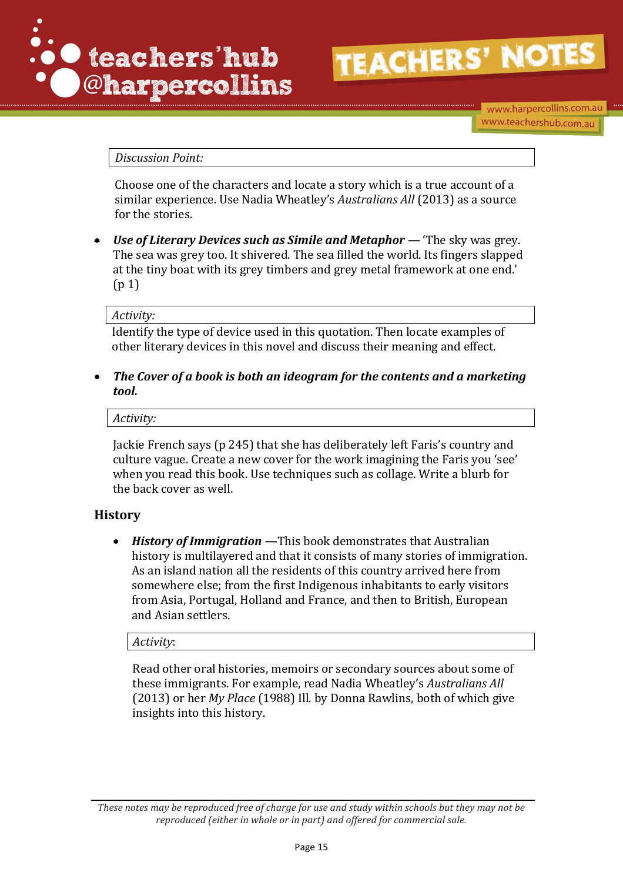

www.harpercollins.com.au www.teachershub.com.au

### *Discussion Point:*

Choose one of the characters and locate a story which is a true account of a similar experience. Use Nadia Wheatley's *Australians All* (2013) as a source for the stories.

 *Use of Literary Devices such as Simile and Metaphor —* 'The sky was grey. The sea was grey too. It shivered. The sea filled the world. Its fingers slapped at the tiny boat with its grey timbers and grey metal framework at one end.' (p 1)

#### *Activity:*

Identify the type of device used in this quotation. Then locate examples of other literary devices in this novel and discuss their meaning and effect.

 *The Cover of a book is both an ideogram for the contents and a marketing tool.* 

*Activity:*

Jackie French says (p 245) that she has deliberately left Faris's country and culture vague. Create a new cover for the work imagining the Faris you 'see' when you read this book. Use techniques such as collage. Write a blurb for the back cover as well.

### **History**

 *History of Immigration* **—**This book demonstrates that Australian history is multilayered and that it consists of many stories of immigration. As an island nation all the residents of this country arrived here from somewhere else; from the first Indigenous inhabitants to early visitors from Asia, Portugal, Holland and France, and then to British, European and Asian settlers.

*Activity*:

Read other oral histories, memoirs or secondary sources about some of these immigrants. For example, read Nadia Wheatley's *Australians All* (2013) or her *My Place* (1988) Ill. by Donna Rawlins, both of which give insights into this history.

*These notes may be reproduced free of charge for use and study within schools but they may not be reproduced (either in whole or in part) and offered for commercial sale.*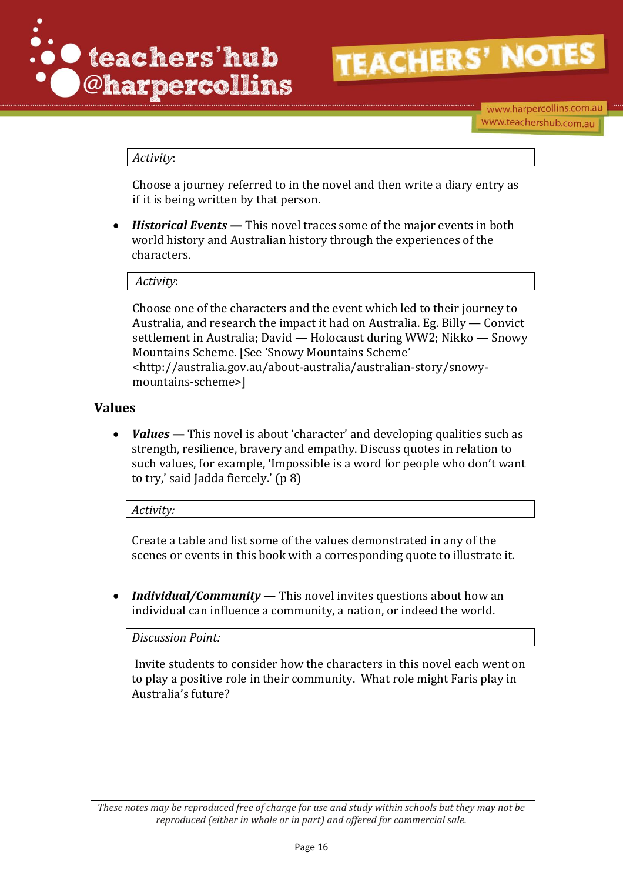

www.harpercollins.com.au www.teachershub.com.au

### *Activity*:

Choose a journey referred to in the novel and then write a diary entry as if it is being written by that person.

 *Historical Events* **—** This novel traces some of the major events in both world history and Australian history through the experiences of the characters.

*Activity*:

Choose one of the characters and the event which led to their journey to Australia, and research the impact it had on Australia. Eg. Billy — Convict settlement in Australia; David — Holocaust during WW2; Nikko — Snowy Mountains Scheme. [See 'Snowy Mountains Scheme' <http://australia.gov.au/about-australia/australian-story/snowymountains-scheme>]

### **Values**

 *Values* **—** This novel is about 'character' and developing qualities such as strength, resilience, bravery and empathy. Discuss quotes in relation to such values, for example, 'Impossible is a word for people who don't want to try,' said Jadda fiercely.' (p 8)

*Activity:* 

Create a table and list some of the values demonstrated in any of the scenes or events in this book with a corresponding quote to illustrate it.

 *Individual/Community* — This novel invites questions about how an individual can influence a community, a nation, or indeed the world.

*Discussion Point:*

Invite students to consider how the characters in this novel each went on to play a positive role in their community. What role might Faris play in Australia's future?

*These notes may be reproduced free of charge for use and study within schools but they may not be reproduced (either in whole or in part) and offered for commercial sale.*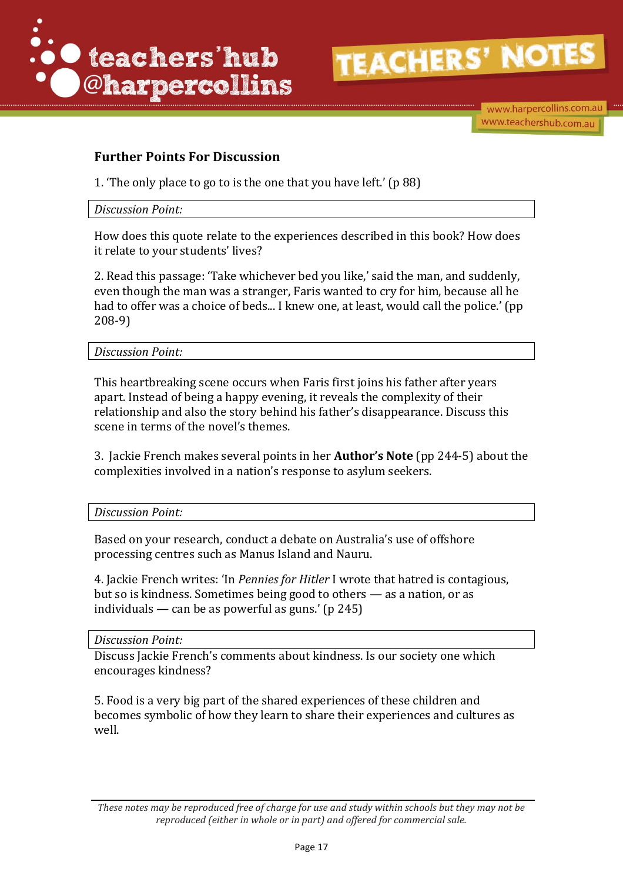

www.harpercollins.com.au www.teachershub.com.au

# **Further Points For Discussion**

1. 'The only place to go to is the one that you have left.' (p 88)

### *Discussion Point:*

How does this quote relate to the experiences described in this book? How does it relate to your students' lives?

2. Read this passage: 'Take whichever bed you like,' said the man, and suddenly, even though the man was a stranger, Faris wanted to cry for him, because all he had to offer was a choice of beds... I knew one, at least, would call the police.' (pp 208-9)

*Discussion Point:*

This heartbreaking scene occurs when Faris first joins his father after years apart. Instead of being a happy evening, it reveals the complexity of their relationship and also the story behind his father's disappearance. Discuss this scene in terms of the novel's themes.

3. Jackie French makes several points in her **Author's Note** (pp 244-5) about the complexities involved in a nation's response to asylum seekers.

*Discussion Point:*

Based on your research, conduct a debate on Australia's use of offshore processing centres such as Manus Island and Nauru.

4. Jackie French writes: 'In *Pennies for Hitler* I wrote that hatred is contagious, but so is kindness. Sometimes being good to others — as a nation, or as individuals — can be as powerful as guns.'  $(p 245)$ 

*Discussion Point:*

Discuss Jackie French's comments about kindness. Is our society one which encourages kindness?

5. Food is a very big part of the shared experiences of these children and becomes symbolic of how they learn to share their experiences and cultures as well.

*These notes may be reproduced free of charge for use and study within schools but they may not be reproduced (either in whole or in part) and offered for commercial sale.*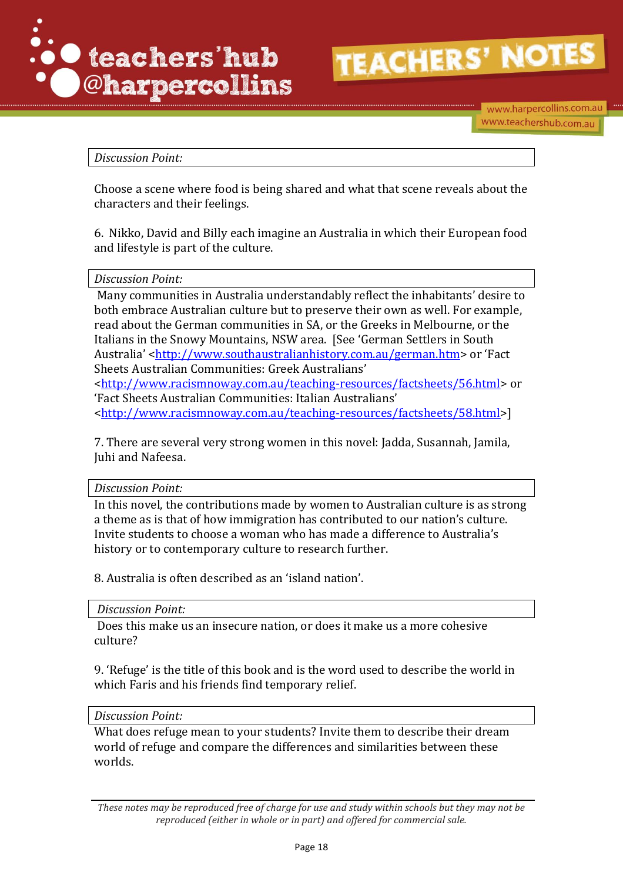

www.harpercollins.com.au www.teachershub.com.au

### *Discussion Point:*

Choose a scene where food is being shared and what that scene reveals about the characters and their feelings.

6. Nikko, David and Billy each imagine an Australia in which their European food and lifestyle is part of the culture.

### *Discussion Point:*

Many communities in Australia understandably reflect the inhabitants' desire to both embrace Australian culture but to preserve their own as well. For example, read about the German communities in SA, or the Greeks in Melbourne, or the Italians in the Snowy Mountains, NSW area. [See 'German Settlers in South Australia' [<http://www.southaustralianhistory.com.au/german.htm>](http://www.southaustralianhistory.com.au/german.htm) or 'Fact Sheets Australian Communities: Greek Australians'

[<http://www.racismnoway.com.au/teaching-resources/factsheets/56.html>](http://www.racismnoway.com.au/teaching-resources/factsheets/56.html) or 'Fact Sheets Australian Communities: Italian Australians' [<http://www.racismnoway.com.au/teaching-resources/factsheets/58.html>](http://www.racismnoway.com.au/teaching-resources/factsheets/58.html)]

7. There are several very strong women in this novel: Jadda, Susannah, Jamila, Juhi and Nafeesa.

### *Discussion Point:*

In this novel, the contributions made by women to Australian culture is as strong a theme as is that of how immigration has contributed to our nation's culture. Invite students to choose a woman who has made a difference to Australia's history or to contemporary culture to research further.

8. Australia is often described as an 'island nation'.

*Discussion Point:*

Does this make us an insecure nation, or does it make us a more cohesive culture?

9. 'Refuge' is the title of this book and is the word used to describe the world in which Faris and his friends find temporary relief.

### *Discussion Point:*

What does refuge mean to your students? Invite them to describe their dream world of refuge and compare the differences and similarities between these worlds.

*These notes may be reproduced free of charge for use and study within schools but they may not be reproduced (either in whole or in part) and offered for commercial sale.*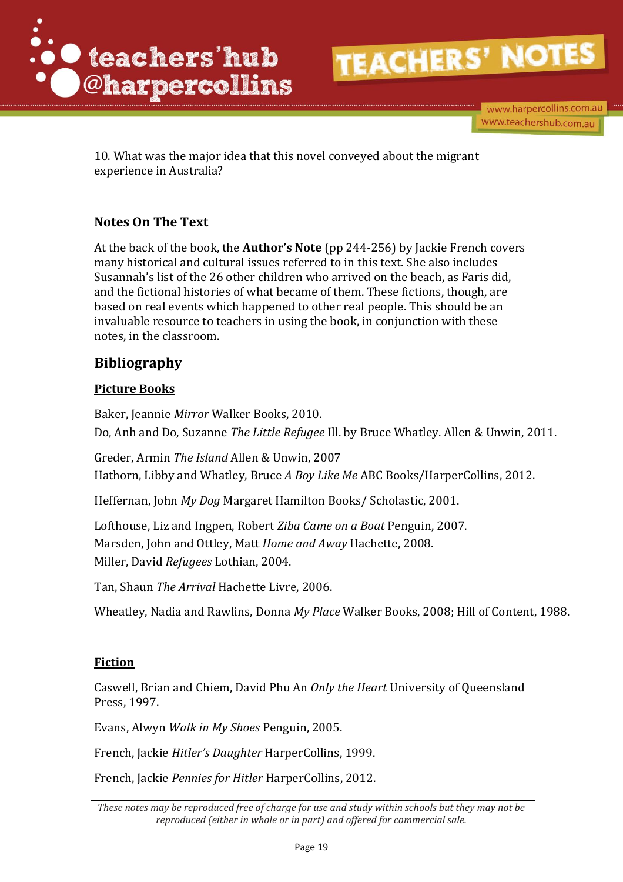

www.harpercollins.com.au www.teachershub.com.au

10. What was the major idea that this novel conveyed about the migrant experience in Australia?

# **Notes On The Text**

At the back of the book, the **Author's Note** (pp 244-256) by Jackie French covers many historical and cultural issues referred to in this text. She also includes Susannah's list of the 26 other children who arrived on the beach, as Faris did, and the fictional histories of what became of them. These fictions, though, are based on real events which happened to other real people. This should be an invaluable resource to teachers in using the book, in conjunction with these notes, in the classroom.

# **Bibliography**

# **Picture Books**

Baker, Jeannie *Mirror* Walker Books, 2010. Do, Anh and Do, Suzanne *The Little Refugee* Ill. by Bruce Whatley. Allen & Unwin, 2011.

Greder, Armin *The Island* Allen & Unwin, 2007 Hathorn, Libby and Whatley, Bruce *A Boy Like Me* ABC Books/HarperCollins, 2012.

Heffernan, John *My Dog* Margaret Hamilton Books/ Scholastic, 2001.

Lofthouse, Liz and Ingpen, Robert *Ziba Came on a Boat* Penguin, 2007. Marsden, John and Ottley, Matt *Home and Away* Hachette, 2008. Miller, David *Refugees* Lothian, 2004.

Tan, Shaun *The Arrival* Hachette Livre, 2006.

Wheatley, Nadia and Rawlins, Donna *My Place* Walker Books, 2008; Hill of Content, 1988.

## **Fiction**

Caswell, Brian and Chiem, David Phu An *Only the Heart* University of Queensland Press, 1997.

Evans, Alwyn *Walk in My Shoes* Penguin, 2005.

French, Jackie *Hitler's Daughter* HarperCollins, 1999.

French, Jackie *Pennies for Hitler* HarperCollins, 2012.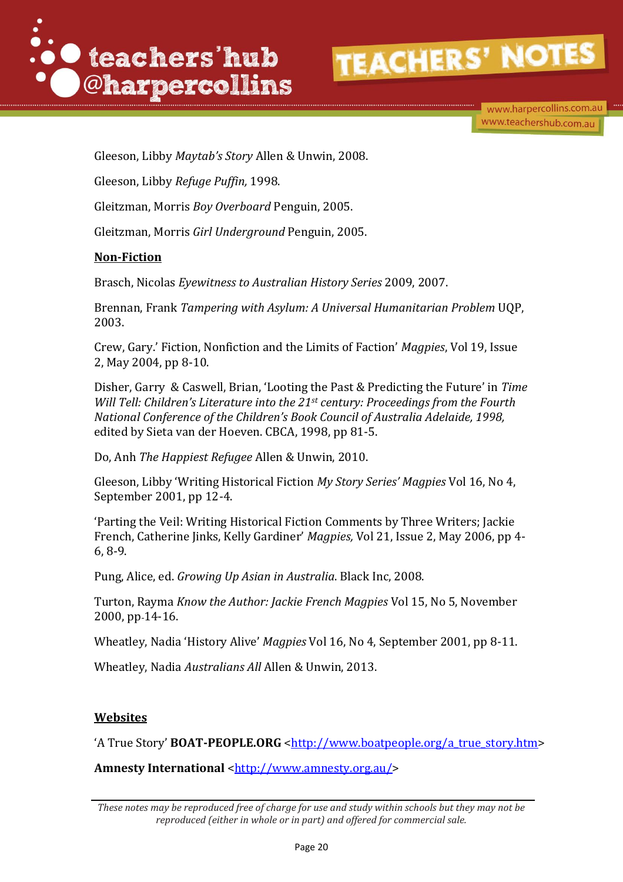

www.harpercollins.com.au www.teachershub.com.au

Gleeson, Libby *Maytab's Story* Allen & Unwin, 2008.

Gleeson, Libby *Refuge Puffin,* 1998.

Gleitzman, Morris *Boy Overboard* Penguin, 2005.

Gleitzman, Morris *Girl Underground* Penguin, 2005.

### **Non-Fiction**

Brasch, Nicolas *Eyewitness to Australian History Series* 2009, 2007.

Brennan, Frank *Tampering with Asylum: A Universal Humanitarian Problem* UQP, 2003.

Crew, Gary.' Fiction, Nonfiction and the Limits of Faction' *Magpies*, Vol 19, Issue 2, May 2004, pp 8-10.

Disher, Garry & Caswell, Brian, 'Looting the Past & Predicting the Future' in *Time Will Tell: Children's Literature into the 21st century: Proceedings from the Fourth National Conference of the Children's Book Council of Australia Adelaide, 1998,*  edited by Sieta van der Hoeven. CBCA, 1998, pp 81-5.

Do, Anh *The Happiest Refugee* Allen & Unwin, 2010.

Gleeson, Libby 'Writing Historical Fiction *My Story Series' Magpies* Vol 16, No 4, September 2001, pp 12-4.

'Parting the Veil: Writing Historical Fiction Comments by Three Writers; Jackie French, Catherine Jinks, Kelly Gardiner' *Magpies,* Vol 21, Issue 2, May 2006, pp 4- 6, 8-9.

Pung, Alice, ed. *Growing Up Asian in Australia*. Black Inc, 2008.

Turton, Rayma *Know the Author: Jackie French Magpies* Vol 15, No 5, November 2000, pp 14-16.

Wheatley, Nadia 'History Alive' *Magpies* Vol 16, No 4, September 2001, pp 8-11.

Wheatley, Nadia *Australians All* Allen & Unwin, 2013.

### **Websites**

'A True Story' **BOAT-PEOPLE.ORG** [<http://www.boatpeople.org/a\\_true\\_story.htm>](http://www.boatpeople.org/a_true_story.htm)

Amnesty International [<http://www.amnesty.org.au/>](http://www.amnesty.org.au/)